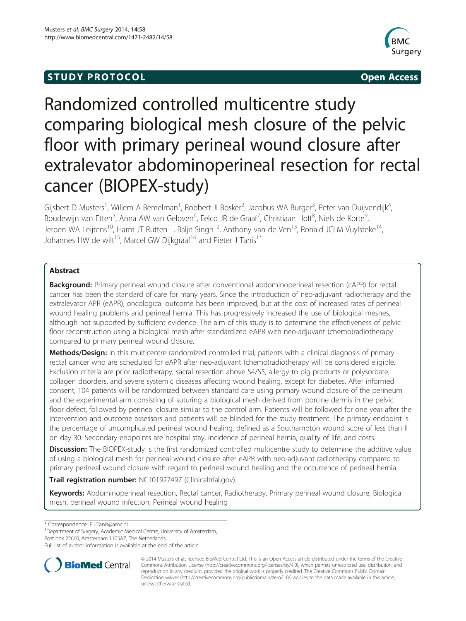# **STUDY PROTOCOL** And the set of the set of the set of the set of the set of the set of the set of the set of the set of the set of the set of the set of the set of the set of the set of the set of the set of the set of the



# Randomized controlled multicentre study comparing biological mesh closure of the pelvic floor with primary perineal wound closure after extralevator abdominoperineal resection for rectal cancer (BIOPEX-study)

Gijsbert D Musters<sup>1</sup>, Willem A Bemelman<sup>1</sup>, Robbert JI Bosker<sup>2</sup>, Jacobus WA Burger<sup>3</sup>, Peter van Duijvendijk<sup>4</sup> , Boudewijn van Etten<sup>5</sup>, Anna AW van Geloven<sup>6</sup>, Eelco JR de Graaf<sup>7</sup>, Christiaan Hoff<sup>8</sup>, Niels de Korte<sup>s</sup> , Jeroen WA Leijtens<sup>10</sup>, Harm JT Rutten<sup>11</sup>, Baljit Singh<sup>12</sup>, Anthony van de Ven<sup>13</sup>, Ronald JCLM Vuylsteke<sup>14</sup>, Johannes HW de wilt<sup>15</sup>, Marcel GW Dijkgraaf<sup>16</sup> and Pieter J Tanis<sup>1\*</sup>

# Abstract

Background: Primary perineal wound closure after conventional abdominoperineal resection (cAPR) for rectal cancer has been the standard of care for many years. Since the introduction of neo-adjuvant radiotherapy and the extralevator APR (eAPR), oncological outcome has been improved, but at the cost of increased rates of perineal wound healing problems and perineal hernia. This has progressively increased the use of biological meshes, although not supported by sufficient evidence. The aim of this study is to determine the effectiveness of pelvic floor reconstruction using a biological mesh after standardized eAPR with neo-adjuvant (chemo)radiotherapy compared to primary perineal wound closure.

Methods/Design: In this multicentre randomized controlled trial, patients with a clinical diagnosis of primary rectal cancer who are scheduled for eAPR after neo-adjuvant (chemo)radiotherapy will be considered eligible. Exclusion criteria are prior radiotherapy, sacral resection above S4/S5, allergy to pig products or polysorbate, collagen disorders, and severe systemic diseases affecting wound healing, except for diabetes. After informed consent, 104 patients will be randomized between standard care using primary wound closure of the perineum and the experimental arm consisting of suturing a biological mesh derived from porcine dermis in the pelvic floor defect, followed by perineal closure similar to the control arm. Patients will be followed for one year after the intervention and outcome assessors and patients will be blinded for the study treatment. The primary endpoint is the percentage of uncomplicated perineal wound healing, defined as a Southampton wound score of less than II on day 30. Secondary endpoints are hospital stay, incidence of perineal hernia, quality of life, and costs.

Discussion: The BIOPEX-study is the first randomized controlled multicentre study to determine the additive value of using a biological mesh for perineal wound closure after eAPR with neo-adjuvant radiotherapy compared to primary perineal wound closure with regard to perineal wound healing and the occurrence of perineal hernia.

Trail registration number: [NCT01927497](http://clinicaltrial.gov/ct2/show/NCT01927497?term=biopex&rank=1) (Clinicaltrial.gov).

Keywords: Abdominoperineal resection, Rectal cancer, Radiotherapy, Primary perineal wound closure, Biological mesh, perineal wound infection, Perineal wound healing

<sup>1</sup>Department of Surgery, Academic Medical Centre, University of Amsterdam,

Post box 22660, Amsterdam 1105AZ, The Netherlands

Full list of author information is available at the end of the article



© 2014 Musters et al.; licensee BioMed Central Ltd. This is an Open Access article distributed under the terms of the Creative Commons Attribution License [\(http://creativecommons.org/licenses/by/4.0\)](http://creativecommons.org/licenses/by/4.0), which permits unrestricted use, distribution, and reproduction in any medium, provided the original work is properly credited. The Creative Commons Public Domain Dedication waiver [\(http://creativecommons.org/publicdomain/zero/1.0/](http://creativecommons.org/publicdomain/zero/1.0/)) applies to the data made available in this article, unless otherwise stated.

<sup>\*</sup> Correspondence: [P.J.Tanis@amc.nl](mailto:P.J.Tanis@amc.nl) <sup>1</sup>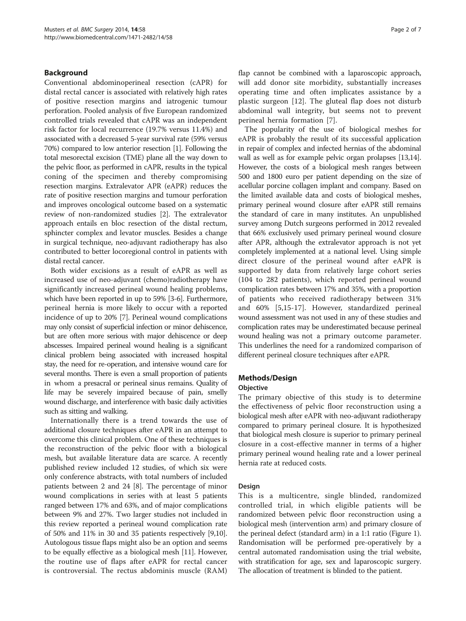# Background

Conventional abdominoperineal resection (cAPR) for distal rectal cancer is associated with relatively high rates of positive resection margins and iatrogenic tumour perforation. Pooled analysis of five European randomized controlled trials revealed that cAPR was an independent risk factor for local recurrence (19.7% versus 11.4%) and associated with a decreased 5-year survival rate (59% versus 70%) compared to low anterior resection [\[1\]](#page-5-0). Following the total mesorectal excision (TME) plane all the way down to the pelvic floor, as performed in cAPR, results in the typical coning of the specimen and thereby compromising resection margins. Extralevator APR (eAPR) reduces the rate of positive resection margins and tumour perforation and improves oncological outcome based on a systematic review of non-randomized studies [\[2](#page-5-0)]. The extralevator approach entails en bloc resection of the distal rectum, sphincter complex and levator muscles. Besides a change in surgical technique, neo-adjuvant radiotherapy has also contributed to better locoregional control in patients with distal rectal cancer.

Both wider excisions as a result of eAPR as well as increased use of neo-adjuvant (chemo)radiotherapy have significantly increased perineal wound healing problems, which have been reported in up to 59% [[3](#page-5-0)[-6\]](#page-6-0). Furthermore, perineal hernia is more likely to occur with a reported incidence of up to 20% [[7\]](#page-6-0). Perineal wound complications may only consist of superficial infection or minor dehiscence, but are often more serious with major dehiscence or deep abscesses. Impaired perineal wound healing is a significant clinical problem being associated with increased hospital stay, the need for re-operation, and intensive wound care for several months. There is even a small proportion of patients in whom a presacral or perineal sinus remains. Quality of life may be severely impaired because of pain, smelly wound discharge, and interference with basic daily activities such as sitting and walking.

Internationally there is a trend towards the use of additional closure techniques after eAPR in an attempt to overcome this clinical problem. One of these techniques is the reconstruction of the pelvic floor with a biological mesh, but available literature data are scarce. A recently published review included 12 studies, of which six were only conference abstracts, with total numbers of included patients between 2 and 24 [\[8](#page-6-0)]. The percentage of minor wound complications in series with at least 5 patients ranged between 17% and 63%, and of major complications between 9% and 27%. Two larger studies not included in this review reported a perineal wound complication rate of 50% and 11% in 30 and 35 patients respectively [[9,10](#page-6-0)]. Autologous tissue flaps might also be an option and seems to be equally effective as a biological mesh [\[11\]](#page-6-0). However, the routine use of flaps after eAPR for rectal cancer is controversial. The rectus abdominis muscle (RAM)

flap cannot be combined with a laparoscopic approach, will add donor site morbidity, substantially increases operating time and often implicates assistance by a plastic surgeon [\[12](#page-6-0)]. The gluteal flap does not disturb abdominal wall integrity, but seems not to prevent perineal hernia formation [[7\]](#page-6-0).

The popularity of the use of biological meshes for eAPR is probably the result of its successful application in repair of complex and infected hernias of the abdominal wall as well as for example pelvic organ prolapses [\[13,14](#page-6-0)]. However, the costs of a biological mesh ranges between 500 and 1800 euro per patient depending on the size of acellular porcine collagen implant and company. Based on the limited available data and costs of biological meshes, primary perineal wound closure after eAPR still remains the standard of care in many institutes. An unpublished survey among Dutch surgeons performed in 2012 revealed that 66% exclusively used primary perineal wound closure after APR, although the extralevator approach is not yet completely implemented at a national level. Using simple direct closure of the perineal wound after eAPR is supported by data from relatively large cohort series (104 to 282 patients), which reported perineal wound complication rates between 17% and 35%, with a proportion of patients who received radiotherapy between 31% and 60% [\[5,15](#page-6-0)-[17](#page-6-0)]. However, standardized perineal wound assessment was not used in any of these studies and complication rates may be underestimated because perineal wound healing was not a primary outcome parameter. This underlines the need for a randomized comparison of different perineal closure techniques after eAPR.

# Methods/Design

#### **Objective**

The primary objective of this study is to determine the effectiveness of pelvic floor reconstruction using a biological mesh after eAPR with neo-adjuvant radiotherapy compared to primary perineal closure. It is hypothesized that biological mesh closure is superior to primary perineal closure in a cost-effective manner in terms of a higher primary perineal wound healing rate and a lower perineal hernia rate at reduced costs.

#### Design

This is a multicentre, single blinded, randomized controlled trial, in which eligible patients will be randomized between pelvic floor reconstruction using a biological mesh (intervention arm) and primary closure of the perineal defect (standard arm) in a 1:1 ratio (Figure [1](#page-2-0)). Randomisation will be performed pre-operatively by a central automated randomisation using the trial website, with stratification for age, sex and laparoscopic surgery. The allocation of treatment is blinded to the patient.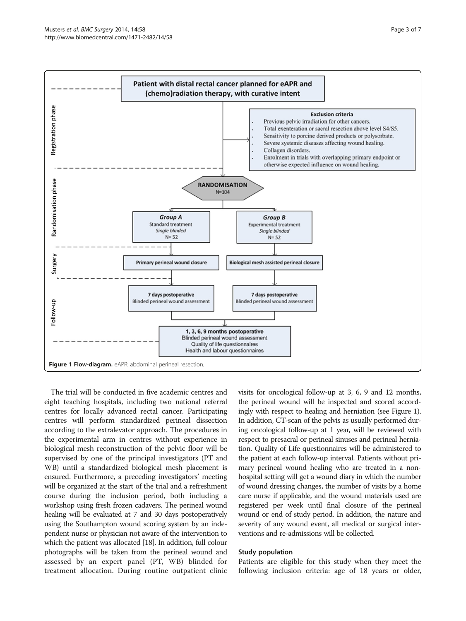<span id="page-2-0"></span>

The trial will be conducted in five academic centres and eight teaching hospitals, including two national referral centres for locally advanced rectal cancer. Participating centres will perform standardized perineal dissection according to the extralevator approach. The procedures in the experimental arm in centres without experience in biological mesh reconstruction of the pelvic floor will be supervised by one of the principal investigators (PT and WB) until a standardized biological mesh placement is ensured. Furthermore, a preceding investigators' meeting will be organized at the start of the trial and a refreshment course during the inclusion period, both including a workshop using fresh frozen cadavers. The perineal wound healing will be evaluated at 7 and 30 days postoperatively using the Southampton wound scoring system by an independent nurse or physician not aware of the intervention to which the patient was allocated [\[18\]](#page-6-0). In addition, full colour photographs will be taken from the perineal wound and assessed by an expert panel (PT, WB) blinded for treatment allocation. During routine outpatient clinic

visits for oncological follow-up at 3, 6, 9 and 12 months, the perineal wound will be inspected and scored accordingly with respect to healing and herniation (see Figure 1). In addition, CT-scan of the pelvis as usually performed during oncological follow-up at 1 year, will be reviewed with respect to presacral or perineal sinuses and perineal herniation. Quality of Life questionnaires will be administered to the patient at each follow-up interval. Patients without primary perineal wound healing who are treated in a nonhospital setting will get a wound diary in which the number of wound dressing changes, the number of visits by a home care nurse if applicable, and the wound materials used are registered per week until final closure of the perineal wound or end of study period. In addition, the nature and severity of any wound event, all medical or surgical interventions and re-admissions will be collected.

#### Study population

Patients are eligible for this study when they meet the following inclusion criteria: age of 18 years or older,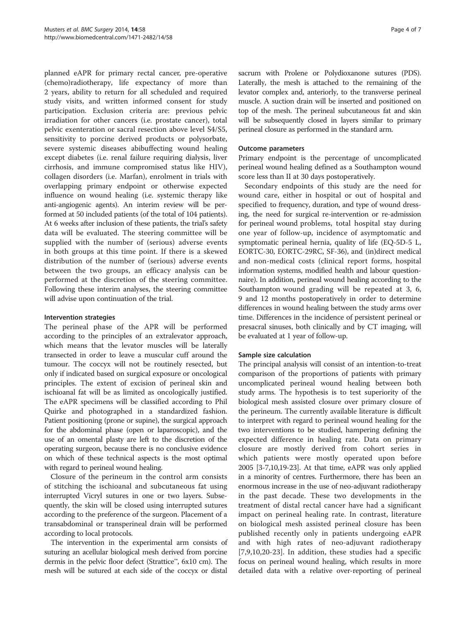planned eAPR for primary rectal cancer, pre-operative (chemo)radiotherapy, life expectancy of more than 2 years, ability to return for all scheduled and required study visits, and written informed consent for study participation. Exclusion criteria are: previous pelvic irradiation for other cancers (i.e. prostate cancer), total pelvic exenteration or sacral resection above level S4/S5, sensitivity to porcine derived products or polysorbate, severe systemic diseases abibuffecting wound healing except diabetes (i.e. renal failure requiring dialysis, liver cirrhosis, and immune compromised status like HIV), collagen disorders (i.e. Marfan), enrolment in trials with overlapping primary endpoint or otherwise expected influence on wound healing (i.e. systemic therapy like anti-angiogenic agents). An interim review will be performed at 50 included patients (of the total of 104 patients). At 6 weeks after inclusion of these patients, the trial's safety data will be evaluated. The steering committee will be supplied with the number of (serious) adverse events in both groups at this time point. If there is a skewed distribution of the number of (serious) adverse events between the two groups, an efficacy analysis can be performed at the discretion of the steering committee. Following these interim analyses, the steering committee will advise upon continuation of the trial.

# Intervention strategies

The perineal phase of the APR will be performed according to the principles of an extralevator approach, which means that the levator muscles will be laterally transected in order to leave a muscular cuff around the tumour. The coccyx will not be routinely resected, but only if indicated based on surgical exposure or oncological principles. The extent of excision of perineal skin and ischioanal fat will be as limited as oncologically justified. The eAPR specimens will be classified according to Phil Quirke and photographed in a standardized fashion. Patient positioning (prone or supine), the surgical approach for the abdominal phase (open or laparoscopic), and the use of an omental plasty are left to the discretion of the operating surgeon, because there is no conclusive evidence on which of these technical aspects is the most optimal with regard to perineal wound healing.

Closure of the perineum in the control arm consists of stitching the ischioanal and subcutaneous fat using interrupted Vicryl sutures in one or two layers. Subsequently, the skin will be closed using interrupted sutures according to the preference of the surgeon. Placement of a transabdominal or transperineal drain will be performed according to local protocols.

The intervention in the experimental arm consists of suturing an acellular biological mesh derived from porcine dermis in the pelvic floor defect (Strattice™, 6x10 cm). The mesh will be sutured at each side of the coccyx or distal

sacrum with Prolene or Polydioxanone sutures (PDS). Laterally, the mesh is attached to the remaining of the levator complex and, anteriorly, to the transverse perineal muscle. A suction drain will be inserted and positioned on top of the mesh. The perineal subcutaneous fat and skin will be subsequently closed in layers similar to primary perineal closure as performed in the standard arm.

#### Outcome parameters

Primary endpoint is the percentage of uncomplicated perineal wound healing defined as a Southampton wound score less than II at 30 days postoperatively.

Secondary endpoints of this study are the need for wound care, either in hospital or out of hospital and specified to frequency, duration, and type of wound dressing, the need for surgical re-intervention or re-admission for perineal wound problems, total hospital stay during one year of follow-up, incidence of asymptomatic and symptomatic perineal hernia, quality of life (EQ-5D-5 L, EORTC-30, EORTC-29RC, SF-36), and (in)direct medical and non-medical costs (clinical report forms, hospital information systems, modified health and labour questionnaire). In addition, perineal wound healing according to the Southampton wound grading will be repeated at 3, 6, 9 and 12 months postoperatively in order to determine differences in wound healing between the study arms over time. Differences in the incidence of persistent perineal or presacral sinuses, both clinically and by CT imaging, will be evaluated at 1 year of follow-up.

# Sample size calculation

The principal analysis will consist of an intention-to-treat comparison of the proportions of patients with primary uncomplicated perineal wound healing between both study arms. The hypothesis is to test superiority of the biological mesh assisted closure over primary closure of the perineum. The currently available literature is difficult to interpret with regard to perineal wound healing for the two interventions to be studied, hampering defining the expected difference in healing rate. Data on primary closure are mostly derived from cohort series in which patients were mostly operated upon before 2005 [[3](#page-5-0)-[7,10,19-23\]](#page-6-0). At that time, eAPR was only applied in a minority of centres. Furthermore, there has been an enormous increase in the use of neo-adjuvant radiotherapy in the past decade. These two developments in the treatment of distal rectal cancer have had a significant impact on perineal healing rate. In contrast, literature on biological mesh assisted perineal closure has been published recently only in patients undergoing eAPR and with high rates of neo-adjuvant radiotherapy [[7,9,10](#page-6-0),[20-23](#page-6-0)]. In addition, these studies had a specific focus on perineal wound healing, which results in more detailed data with a relative over-reporting of perineal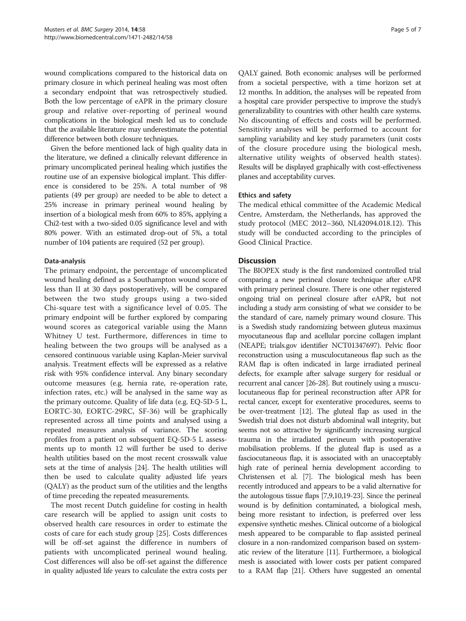wound complications compared to the historical data on primary closure in which perineal healing was most often a secondary endpoint that was retrospectively studied. Both the low percentage of eAPR in the primary closure group and relative over-reporting of perineal wound complications in the biological mesh led us to conclude that the available literature may underestimate the potential difference between both closure techniques.

Given the before mentioned lack of high quality data in the literature, we defined a clinically relevant difference in primary uncomplicated perineal healing which justifies the routine use of an expensive biological implant. This difference is considered to be 25%. A total number of 98 patients (49 per group) are needed to be able to detect a 25% increase in primary perineal wound healing by insertion of a biological mesh from 60% to 85%, applying a Chi2-test with a two-sided 0.05 significance level and with 80% power. With an estimated drop-out of 5%, a total number of 104 patients are required (52 per group).

# Data-analysis

The primary endpoint, the percentage of uncomplicated wound healing defined as a Southampton wound score of less than II at 30 days postoperatively, will be compared between the two study groups using a two-sided Chi-square test with a significance level of 0.05. The primary endpoint will be further explored by comparing wound scores as categorical variable using the Mann Whitney U test. Furthermore, differences in time to healing between the two groups will be analysed as a censored continuous variable using Kaplan-Meier survival analysis. Treatment effects will be expressed as a relative risk with 95% confidence interval. Any binary secondary outcome measures (e.g. hernia rate, re-operation rate, infection rates, etc.) will be analysed in the same way as the primary outcome. Quality of life data (e.g. EQ-5D-5 L, EORTC-30, EORTC-29RC, SF-36) will be graphically represented across all time points and analysed using a repeated measures analysis of variance. The scoring profiles from a patient on subsequent EQ-5D-5 L assessments up to month 12 will further be used to derive health utilities based on the most recent crosswalk value sets at the time of analysis [\[24](#page-6-0)]. The health utilities will then be used to calculate quality adjusted life years (QALY) as the product sum of the utilities and the lengths of time preceding the repeated measurements.

The most recent Dutch guideline for costing in health care research will be applied to assign unit costs to observed health care resources in order to estimate the costs of care for each study group [[25](#page-6-0)]. Costs differences will be off-set against the difference in numbers of patients with uncomplicated perineal wound healing. Cost differences will also be off-set against the difference in quality adjusted life years to calculate the extra costs per

QALY gained. Both economic analyses will be performed from a societal perspective, with a time horizon set at 12 months. In addition, the analyses will be repeated from a hospital care provider perspective to improve the study's generalizability to countries with other health care systems. No discounting of effects and costs will be performed. Sensitivity analyses will be performed to account for sampling variability and key study parameters (unit costs of the closure procedure using the biological mesh, alternative utility weights of observed health states). Results will be displayed graphically with cost-effectiveness planes and acceptability curves.

#### Ethics and safety

The medical ethical committee of the Academic Medical Centre, Amsterdam, the Netherlands, has approved the study protocol (MEC 2012–360, NL42094.018.12). This study will be conducted according to the principles of Good Clinical Practice.

### **Discussion**

The BIOPEX study is the first randomized controlled trial comparing a new perineal closure technique after eAPR with primary perineal closure. There is one other registered ongoing trial on perineal closure after eAPR, but not including a study arm consisting of what we consider to be the standard of care, namely primary wound closure. This is a Swedish study randomizing between gluteus maximus myocutaneous flap and acellular porcine collagen implant (NEAPE; trials.gov identifier NCT01347697). Pelvic floor reconstruction using a musculocutaneous flap such as the RAM flap is often indicated in large irradiated perineal defects, for example after salvage surgery for residual or recurrent anal cancer [\[26-28](#page-6-0)]. But routinely using a musculocutaneous flap for perineal reconstruction after APR for rectal cancer, except for exenterative procedures, seems to be over-treatment [[12](#page-6-0)]. The gluteal flap as used in the Swedish trial does not disturb abdominal wall integrity, but seems not so attractive by significantly increasing surgical trauma in the irradiated perineum with postoperative mobilisation problems. If the gluteal flap is used as a fasciocutaneous flap, it is associated with an unacceptably high rate of perineal hernia development according to Christensen et al. [\[7\]](#page-6-0). The biological mesh has been recently introduced and appears to be a valid alternative for the autologous tissue flaps [[7,9,10,19-23\]](#page-6-0). Since the perineal wound is by definition contaminated, a biological mesh, being more resistant to infection, is preferred over less expensive synthetic meshes. Clinical outcome of a biological mesh appeared to be comparable to flap assisted perineal closure in a non-randomized comparison based on systematic review of the literature [\[11\]](#page-6-0). Furthermore, a biological mesh is associated with lower costs per patient compared to a RAM flap [\[21](#page-6-0)]. Others have suggested an omental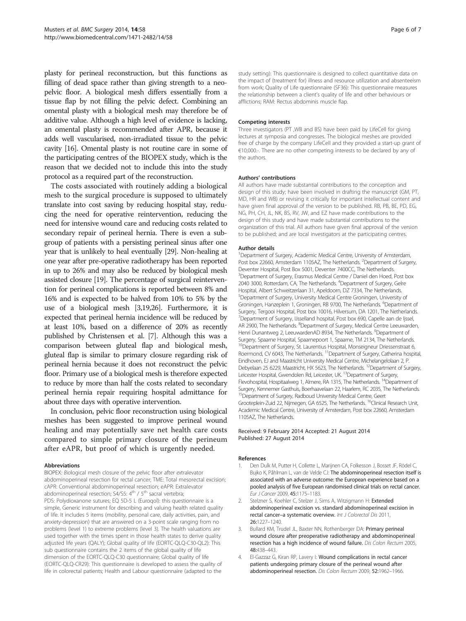<span id="page-5-0"></span>plasty for perineal reconstruction, but this functions as filling of dead space rather than giving strength to a neopelvic floor. A biological mesh differs essentially from a tissue flap by not filling the pelvic defect. Combining an omental plasty with a biological mesh may therefore be of additive value. Although a high level of evidence is lacking, an omental plasty is recommended after APR, because it adds well vascularised, non-irradiated tissue to the pelvic cavity [[16\]](#page-6-0). Omental plasty is not routine care in some of the participating centres of the BIOPEX study, which is the reason that we decided not to include this into the study protocol as a required part of the reconstruction.

The costs associated with routinely adding a biological mesh to the surgical procedure is supposed to ultimately translate into cost saving by reducing hospital stay, reducing the need for operative reintervention, reducing the need for intensive wound care and reducing costs related to secondary repair of perineal hernia. There is even a subgroup of patients with a persisting perineal sinus after one year that is unlikely to heal eventually [\[29\]](#page-6-0). Non-healing at one year after pre-operative radiotherapy has been reported in up to 26% and may also be reduced by biological mesh assisted closure [\[19](#page-6-0)]. The percentage of surgical reintervention for perineal complications is reported between 8% and 16% and is expected to be halved from 10% to 5% by the use of a biological mesh [3,[19,26\]](#page-6-0). Furthermore, it is expected that perineal hernia incidence will be reduced by at least 10%, based on a difference of 20% as recently published by Christensen et al. [\[7\]](#page-6-0). Although this was a comparison between gluteal flap and biological mesh, gluteal flap is similar to primary closure regarding risk of perineal hernia because it does not reconstruct the pelvic floor. Primary use of a biological mesh is therefore expected to reduce by more than half the costs related to secondary perineal hernia repair requiring hospital admittance for about three days with operative intervention.

In conclusion, pelvic floor reconstruction using biological meshes has been suggested to improve perineal wound healing and may potentially save net health care costs compared to simple primary closure of the perineum after eAPR, but proof of which is urgently needed.

#### Abbreviations

BIOPEX: Biological mesh closure of the pelvic floor after extralevator abdominoperineal resection for rectal cancer; TME: Total mesorectal excision; cAPR: Conventional abdominoperineal resection; eAPR: Extralevator abdominoperineal resection; S4/S5: 4<sup>th</sup> / 5<sup>th</sup> sacral vertebra; PDS: Polydioxanone sutures; EQ 5D-5 L (Euroqol): this questionnaire is a simple, Generic instrument for describing and valuing health related quality of life. It includes 5 items (mobility, personal care, daily activities, pain, and anxiety-depression) that are answered on a 3-point scale ranging from no problems (level 1) to extreme problems (level 3). The health valuations are used together with the times spent in those health states to derive quality adjusted life years (QALY); Global quality of life (EORTC-QLQ-C30-QL2): This sub questionnaire contains the 2 items of the global quality of life dimension of the EORTC-QLQ-C30 questionnaire; Global quality of life (EORTC-QLQ-CR29): This questionnaire is developed to assess the quality of life in colorectal patients; Health and Labour questionnaire (adapted to the

study setting): This questionnaire is designed to collect quantitative data on the impact of (treatment for) illness and resource utilization and absenteeism from work; Quality of Life questionnaire (SF36): This questionnaire measures the relationship between a client's quality of life and other behaviours or afflictions; RAM: Rectus abdominis muscle flap.

#### Competing interests

Three investigators (PT ,WB and BS) have been paid by LifeCell for giving lectures at symposia and congresses. The biological meshes are provided free of charge by the company LifeCell and they provided a start-up grant of €10,000.-. There are no other competing interests to be declared by any of the authors.

#### Authors' contributions

All authors have made substantial contributions to the conception and design of this study; have been involved in drafting the manuscript (GM, PT, MD, HR and WB) or revising it critically for important intellectual content and have given final approval of the version to be published. RB, PB, BE, PD, EG, NG, PH, CH, JL, NK, BS, RV, JW, and EZ have made contributions to the design of this study and have made substantial contributions to the organization of this trial. All authors have given final approval of the version to be published; and are local investigators at the participating centres.

#### Author details

<sup>1</sup> Department of Surgery, Academic Medical Centre, University of Amsterdam, Post box 22660, Amsterdam 1105AZ, The Netherlands. <sup>2</sup>Department of Surgery, Deventer Hospital, Post Box 5001, Deventer 7400CC, The Netherlands. <sup>3</sup>Department of Surgery, Erasmus Medical Centre / Daniel den Hoed, Post box 2040 3000, Rotterdam, CA, The Netherlands. <sup>4</sup> Department of Surgery, Gelre Hospital, Albert Schweitzerlaan 31, Apeldoorn, DZ 7334, The Netherlands. 5 Department of Surgery, University Medical Centre Groningen, University of Groningen, Hanzeplein 1, Groningen, RB 9700, The Netherlands. <sup>6</sup>Department of Surgery, Tergooi Hospital, Post box 10016, Hilversum, DA 1201, The Netherlands. <sup>7</sup>Department of Surgery, IJsselland hospital, Post box 690, Capelle aan de Ijssel AR 2900, The Netherlands. <sup>8</sup>Department of Surgery, Medical Centre Leeuwarden Henri Dunantweg 2, LeeuwardenAD 8934, The Netherlands. <sup>9</sup>Department of Surgery, Spaarne Hospital, Spaarnepoort 1, Spaarne, TM 2134, The Netherlands. <sup>10</sup>Department of Surgery, St. Laurentius Hospital, Monseigneur Driessenstraat 6, Roermond, CV 6043, The Netherlands. <sup>11</sup>Department of Surgery, Catherina hospital, Eindhoven, EJ and Maastricht University Medical Centre, Michelangelolaan 2, P. Debyelaan 25 6229, Maastricht, HX 5623, The Netherlands. <sup>12</sup>Department of Surgery, Leicester Hospital, Gwendolen Rd, Leicester, UK. 13Department of Surgery, Flevohospital, Hospitaalweg 1, Almere, RA 1315, The Netherlands. <sup>14</sup>Department of Surgery, Kennemer Gasthuis, Boerhaavelaan 22, Haarlem, RC 2035, The Netherlands. 15Department of Surgery, Radboud University Medical Centre, Geert Grooteplein-Zuid 22, Nijmegen, GA 6525, The Netherlands. <sup>16</sup>Clinical Research Unit, Academic Medical Centre, University of Amsterdam, Post box 22660, Amsterdam 1105AZ, The Netherlands.

#### Received: 9 February 2014 Accepted: 21 August 2014 Published: 27 August 2014

#### References

- 1. Den Dulk M, Putter H, Collette L, Marijnen CA, Folkesson J, Bosset JF, Rödel C, Bujko K, Påhlman L, van de Velde CJ: The abdominoperineal resection itself is associated with an adverse outcome: the European experience based on a pooled analysis of five European randomised clinical trials on rectal cancer. Eur J Cancer 2009, 45:1175–1183.
- 2. Stelzner S, Koehler C, Stelzer J, Sims A, Witzigmann H: Extended abdominoperineal excision vs. standard abdominoperineal excision in rectal cancer–a systematic overview. Int J Colorectal Dis 2011, 26:1227–1240.
- Bullard KM, Trudel JL, Baxter NN, Rothenberger DA: Primary perineal wound closure after preoperative radiotherapy and abdominoperineal resection has a high incidence of wound failure. Dis Colon Rectum 2005, 48:438–443.
- 4. El-Gazzaz G, Kiran RP, Lavery I: Wound complications in rectal cancer patients undergoing primary closure of the perineal wound after abdominoperineal resection. Dis Colon Rectum 2009, 52:1962–1966.